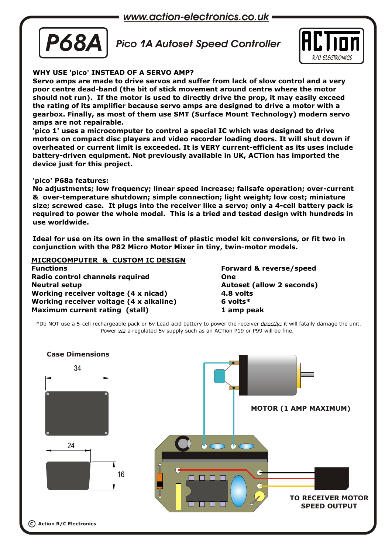*www.action-electronics.co.uk*



*Pico 1A Autoset Speed Controller*



# **WHY USE 'pico' INSTEAD OF A SERVO AMP?**

**Servo amps are made to drive servos and suffer from lack of slow control and a very poor centre dead-band (the bit of stick movement around centre where the motor should not run). If the motor is used to directly drive the prop, it may easily exceed the rating of its amplifier because servo amps are designed to drive a motor with a gearbox. Finally, as most of them use SMT (Surface Mount Technology) modern servo amps are not repairable.**

**'pico 1' uses a microcomputer to control a special IC which was designed to drive motors on compact disc players and video recorder loading doors. It will shut down if overheated or current limit is exceeded. It is VERY current-efficient as its uses include battery-driven equipment. Not previously available in UK, ACTion has imported the device just for this project.** 

### **'pico' P68a features:**

**No adjustments; low frequency; linear speed increase; failsafe operation; over-current & over-temperature shutdown; simple connection; light weight; low cost; miniature size; screwed case. It plugs into the receiver like a servo; only a 4-cell battery pack is required to power the whole model. This is a tried and tested design with hundreds in use worldwide.**

**Ideal for use on its own in the smallest of plastic model kit conversions, or fit two in conjunction with the P82 Micro Motor Mixer in tiny, twin-motor models.**

**MICROCOMPUTER & CUSTOM IC DESIGN Functions Forward & reverse/speed**

**Radio control channels required One Neutral setup Autoset (allow 2 seconds) Working receiver voltage (4 x nicad) 4.8 volts Working receiver voltage (4 x alkaline) 6 volts\* Maximum current rating (stall) 1 amp peak**

\*Do NOT use a 5-cell rechargeable pack or 6v Lead-acid battery to power the receiver *directly;* it will fatally damage the unit. Power *via* a regulated 5v supply such as an ACTion P19 or P99 will be fine.

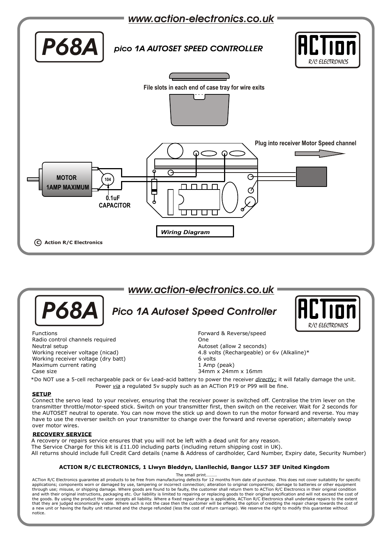

# *Pico 1A Autoset Speed Controller www.action-electronics.co.uk* R/C FLECTRONIC *P68A* Functions **Forward & Reverse/speed** Radio control channels required CONE CONE CONE CONE Neutral setup **Autoset (allow 2 seconds)** Autoset (allow 2 seconds) Working receiver voltage (nicad) 4.8 volts (Rechargeable) or 6v (Alkaline)\* Working receiver voltage (dry batt) 6 volts 6 volts 6 volts 1 Amp (peak) Maximum current rating

Case size 34mm x 24mm x 16mm

\*Do NOT use a 5-cell rechargeable pack or 6v Lead-acid battery to power the receiver *directly;* it will fatally damage the unit. Power *via* a regulated 5v supply such as an ACTion P19 or P99 will be fine.

### **SETUP**

Connect the servo lead to your receiver, ensuring that the receiver power is switched off. Centralise the trim lever on the transmitter throttle/motor-speed stick. Switch on your transmitter first, then switch on the receiver. Wait for 2 seconds for the AUTOSET neutral to operate. You can now move the stick up and down to run the motor forward and reverse. You may have to use the reverser switch on your transmitter to change over the forward and reverse operation; alternately swop over motor wires.

#### **RECOVERY SERVICE**

A recovery or repairs service ensures that you will not be left with a dead unit for any reason. The Service Charge for this kit is £11.00 including parts (including return shipping cost in UK). All returns should include full Credit Card details (name & Address of cardholder, Card Number, Expiry date, Security Number)

### **ACTION R/C ELECTRONICS, 1 Llwyn Bleddyn, Llanllechid, Bangor LL57 3EF United Kingdom**

The small print.

ACTion R/C Electronics guarantee all products to be free from manufacturing defects for 12 months from date of purchase. This does not cover suitability for specific<br>applications; components worn or damaged by use, tamperi through use; misuse, or shipping damage. Where goods are found to be faulty, the customer shall return them to ACTion R/C Electronics in their original condition<br>and with their original instructions, packaging etc. Our lia the goods. By using the product the user accepts all liability. Where a fixed repair charge is applicable, ACTion R/C Electronics shall undertake repairs to the extent<br>that they are judged economically viable. Where such i a new unit or having the faulty unit returned and the charge refunded (less the cost of return carriage). We reserve the right to modify this guarantee without notice.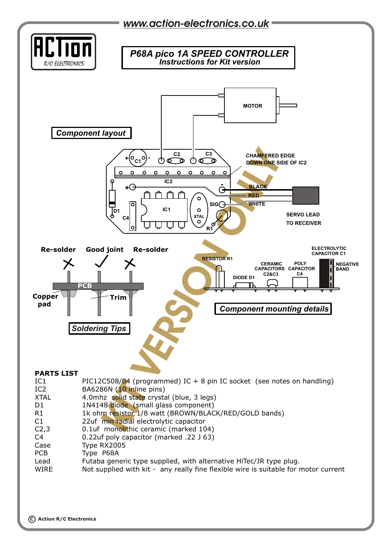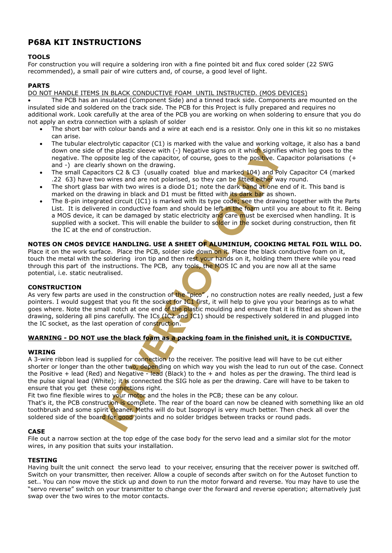# **P68A KIT INSTRUCTIONS**

# **TOOLS**

For construction you will require a soldering iron with a fine pointed bit and flux cored solder (22 SWG recommended), a small pair of wire cutters and, of course, a good level of light.

# **PARTS**

DO NOT HANDLE ITEMS IN BLACK CONDUCTIVE FOAM UNTIL INSTRUCTED. (MOS DEVICES)

 The PCB has an insulated (Component Side) and a tinned track side. Components are mounted on the insulated side and soldered on the track side. The PCB for this Project is fully prepared and requires no additional work. Look carefully at the area of the PCB you are working on when soldering to ensure that you do not apply an extra connection with a splash of solder

- The short bar with colour bands and a wire at each end is a resistor. Only one in this kit so no mistakes can arise.
- down one side of the plastic sleeve with (-) Negative signs on it which signifies which leg goes to the negative. The opposite leg of the capacitor, of course, goes to the positive. Capacitor polarisations (+ and -) are cl The tubular electrolytic capacitor (C1) is marked with the value and working voltage, it also has a band down one side of the plastic sleeve with (-) Negative signs on it which signifies which leg goes to the negative. The opposite leg of the capacitor, of course, goes to the positive. Capacitor polarisations (+ and -) are clearly shown on the drawing.
- .22 63) have two wires and are not polarised, so they can be fitted either way round.
- The short glass bar with two wires is a diode D1; note the dark band at one end of it. This band is marked on the drawing in black and D1 must be fitted with its dark bar as shown.
- and marked 104) and Po<br>y can be fitted either was<br>the dark band at one of<br>d with *its dark bar* as sh<br>ype code; see the drawi<br>left in the foam until your and care must be exerce<br>solder in the socket dure<br>**NLUMINIUM, COOKIN** The 8-pin integrated circuit (IC1) is marked with its type code; see the drawing together with the Parts List. It is delivered in conductive foam and should be left in the foam until you are about to fit it. Being a MOS device, it can be damaged by static electricity and care must be exercised when handling. It is supplied with a socket. This will enable the builder to solder in the socket during construction, then fit the IC at the end of construction.

# **NOTES ON CMOS DEVICE HANDLING. USE A SHEET OF ALUMINIUM, COOKING METAL FOIL WILL DO.**

**T OF ALUM:**<br> **e** down on it.<br>
st your hand<br>
bls, the MOS Place it on the work surface. Place the PCB, solder side down on it. Place the black conductive foam on it, touch the metal with the soldering iron tip and then rest your hands on it, holding them there while you read through this part of the instructions. The PCB, any tools, the MOS IC and you are now all at the same potential, i.e. static neutralised.

### **CONSTRUCTION**

**S**ny tools, the MOS I<br>
the "pico", no cons<br>
or IC1 first, it will be<br>
plastic moulding<br>
and IC1) should be<br>
n. **I**AS very few parts are used in the construction of the "pico", no construction notes are really needed, just a few<br>pointers. I would suggest that you fit the socket for IC1 first, it will help to give you your bearings a goes where. Note the small notch at one end of the plastic moulding and ensure that it is fitted as shown in the pointers. I would suggest that you fit the socket for IC1 first, it will help to give you your bearings as to what drawing, soldering all pins carefully. The ICs (IC2 and IC1) should be respectively soldered in and plugged into the IC socket, as the last operation of construction.

# **WARNING - DO NOT use the black foam as a packing foam in the finished unit, it is CONDUCTIVE.**

### **WIRING**

y. The ICs (IC2 and IC<br>n of construction.<br>ack foam as a packing<br>or connection to the recover<br>of the read (Black) to the<br>connected the SIG hol A 3-wire ribbon lead is supplied for connection to the receiver. The positive lead will have to be cut either shorter or longer than the other two, depending on which way you wish the lead to run out of the case. Connect the Positive + lead (Red) and Negative - lead (Black) to the + and holes as per the drawing. The third lead is the pulse signal lead (White); it is connected the SIG hole as per the drawing. Care will have to be taken to ensure that you get these connections right.

); it is connecte<br>**ionnections right**<br>**your motor and<br>on is complete.**<br>cleaner. Meths i uction is cor<br>irit cleaner.<br>r<mark>d</mark> for good Fit two fine flexible wires to your motor and the holes in the PCB; these can be any colour. That's it, the PCB construction is complete. The rear of the board can now be cleaned with something like an old toothbrush and some spirit cleaner. Meths will do but Isopropyl is very much better. Then check all over the soldered side of the board for good joints and no solder bridges between tracks or round pads.

### **CASE**

File out a narrow section at the top edge of the case body for the servo lead and a similar slot for the motor wires, in any position that suits your installation.

### **TESTING**

Having built the unit connect the servo lead to your receiver, ensuring that the receiver power is switched off. Switch on your transmitter, then receiver. Allow a couple of seconds after switch on for the Autoset function to set.. You can now move the stick up and down to run the motor forward and reverse. You may have to use the "servo reverse" switch on your transmitter to change over the forward and reverse operation; alternatively just swap over the two wires to the motor contacts.